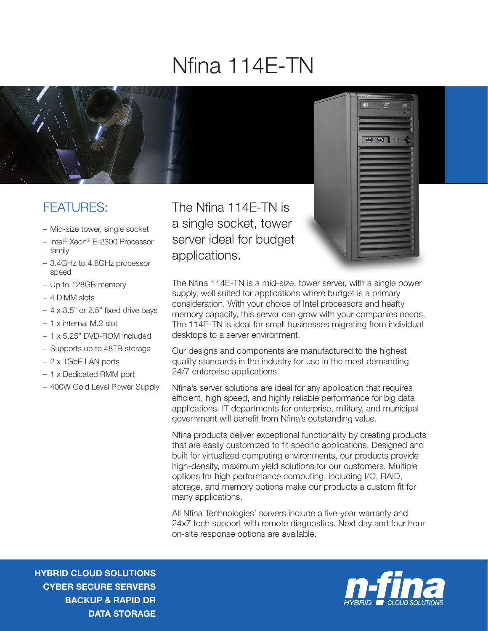## Nfina 114E-TN



## FEATURES:

- Mid-size tower, single socket
- Intel® Xeon® E-2300 Processor family
- 3.4GHz to 4.8GHz processor speed
- Up to 128GB memory
- 4 DIMM slots
- $-4 \times 3.5$ " or 2.5" fixed drive bays
- 1 x internal M.2 slot
- 1 x 5.25" DVD-ROM included
- Supports up to 48TB storage
- 2 x 1GbE LAN ports
- 1 x Dedicated RMM port
- 400W Gold Level Power Supply

The Nfina 114E-TN is a single socket, tower server ideal for budget applications.

The Nfina 114E-TN is a mid-size, tower server, with a single power supply, well suited for applications where budget is a primary consideration. With your choice of Intel processors and heafty memory capacity, this server can grow with your companies needs. The 114E-TN is ideal for small businesses migrating from individual desktops to a server environment.

Our designs and components are manufactured to the highest quality standards in the industry for use in the most demanding 24/7 enterprise applications.

Nfina's server solutions are ideal for any application that requires efficient, high speed, and highly reliable performance for big data applications. IT departments for enterprise, military, and municipal government will benefit from Nfina's outstanding value.

Nfina products deliver exceptional functionality by creating products that are easily customized to fit specific applications. Designed and built for virtualized computing environments, our products provide high-density, maximum yield solutions for our customers. Multiple options for high performance computing, including I/O, RAID, storage, and memory options make our products a custom fit for many applications.

All Nfina Technologies' servers include a five-year warranty and 24x7 tech support with remote diagnostics. Next day and four hour on-site response options are available.

HYBRID CLOUD SOLUTIONS CYBER SECURE SERVERS BACKUP & RAPID DR DATA STORAGE



■■■■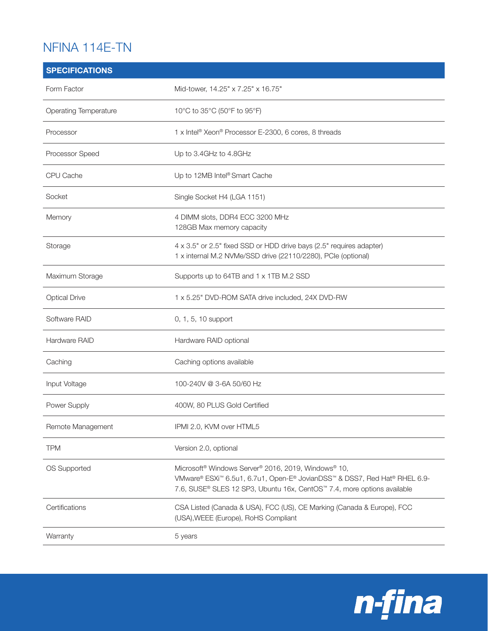## NFINA 114E-TN

| <b>SPECIFICATIONS</b> |                                                                                                                                                                                                                                                 |
|-----------------------|-------------------------------------------------------------------------------------------------------------------------------------------------------------------------------------------------------------------------------------------------|
| Form Factor           | Mid-tower, 14.25" x 7.25" x 16.75"                                                                                                                                                                                                              |
| Operating Temperature | 10°C to 35°C (50°F to 95°F)                                                                                                                                                                                                                     |
| Processor             | 1 x Intel <sup>®</sup> Xeon® Processor E-2300, 6 cores, 8 threads                                                                                                                                                                               |
| Processor Speed       | Up to 3.4GHz to 4.8GHz                                                                                                                                                                                                                          |
| CPU Cache             | Up to 12MB Intel <sup>®</sup> Smart Cache                                                                                                                                                                                                       |
| Socket                | Single Socket H4 (LGA 1151)                                                                                                                                                                                                                     |
| Memory                | 4 DIMM slots, DDR4 ECC 3200 MHz<br>128GB Max memory capacity                                                                                                                                                                                    |
| Storage               | 4 x 3.5" or 2.5" fixed SSD or HDD drive bays (2.5" requires adapter)<br>1 x internal M.2 NVMe/SSD drive (22110/2280), PCIe (optional)                                                                                                           |
| Maximum Storage       | Supports up to 64TB and 1 x 1TB M.2 SSD                                                                                                                                                                                                         |
| <b>Optical Drive</b>  | 1 x 5.25" DVD-ROM SATA drive included, 24X DVD-RW                                                                                                                                                                                               |
| Software RAID         | 0, 1, 5, 10 support                                                                                                                                                                                                                             |
| Hardware RAID         | Hardware RAID optional                                                                                                                                                                                                                          |
| Caching               | Caching options available                                                                                                                                                                                                                       |
| Input Voltage         | 100-240V @ 3-6A 50/60 Hz                                                                                                                                                                                                                        |
| Power Supply          | 400W, 80 PLUS Gold Certified                                                                                                                                                                                                                    |
| Remote Management     | IPMI 2.0, KVM over HTML5                                                                                                                                                                                                                        |
| <b>TPM</b>            | Version 2.0, optional                                                                                                                                                                                                                           |
| OS Supported          | Microsoft <sup>®</sup> Windows Server <sup>®</sup> 2016, 2019, Windows <sup>®</sup> 10,<br>VMware® ESXi™ 6.5u1, 6.7u1, Open-E® JovianDSS™ & DSS7, Red Hat® RHEL 6.9-<br>7.6, SUSE® SLES 12 SP3, Ubuntu 16x, CentOS™ 7.4, more options available |
| Certifications        | CSA Listed (Canada & USA), FCC (US), CE Marking (Canada & Europe), FCC<br>(USA), WEEE (Europe), RoHS Compliant                                                                                                                                  |
| Warranty              | 5 years                                                                                                                                                                                                                                         |